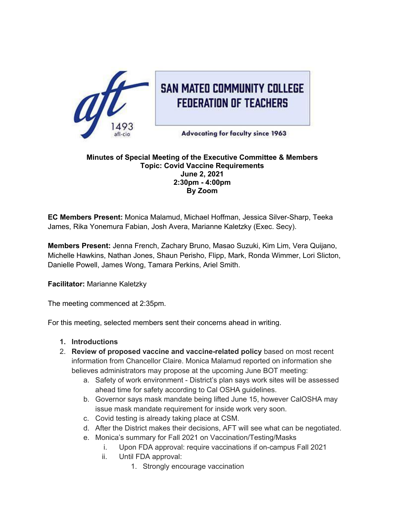

# **SAN MATED COMMUNITY COLLEGE FEDERATION OF TEACHERS**

**Advocating for faculty since 1963** 

#### **Minutes of Special Meeting of the Executive Committee & Members Topic: Covid Vaccine Requirements June 2, 2021 2:30pm - 4:00pm By Zoom**

**EC Members Present:** Monica Malamud, Michael Hoffman, Jessica Silver-Sharp, Teeka James, Rika Yonemura Fabian, Josh Avera, Marianne Kaletzky (Exec. Secy).

**Members Present:** Jenna French, Zachary Bruno, Masao Suzuki, Kim Lim, Vera Quijano, Michelle Hawkins, Nathan Jones, Shaun Perisho, Flipp, Mark, Ronda Wimmer, Lori Slicton, Danielle Powell, James Wong, Tamara Perkins, Ariel Smith.

**Facilitator:** Marianne Kaletzky

The meeting commenced at 2:35pm.

For this meeting, selected members sent their concerns ahead in writing.

## **1. Introductions**

- 2. **Review of proposed vaccine and vaccine-related policy** based on most recent information from Chancellor Claire. Monica Malamud reported on information she believes administrators may propose at the upcoming June BOT meeting:
	- a. Safety of work environment District's plan says work sites will be assessed ahead time for safety according to Cal OSHA guidelines.
	- b. Governor says mask mandate being lifted June 15, however CalOSHA may issue mask mandate requirement for inside work very soon.
	- c. Covid testing is already taking place at CSM.
	- d. After the District makes their decisions, AFT will see what can be negotiated.
	- e. Monica's summary for Fall 2021 on Vaccination/Testing/Masks
		- i. Upon FDA approval: require vaccinations if on-campus Fall 2021
		- ii. Until FDA approval:
			- 1. Strongly encourage vaccination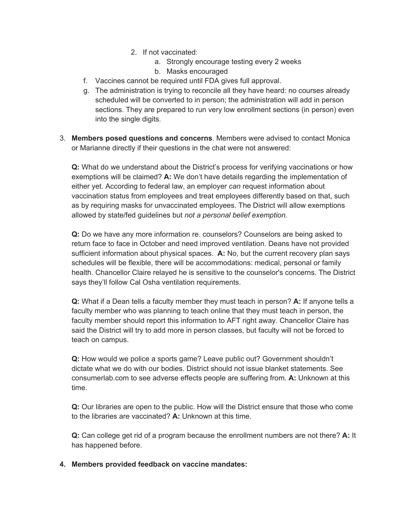- 2. If not vaccinated:
	- a. Strongly encourage testing every 2 weeks
	- b. Masks encouraged
- f. Vaccines cannot be required until FDA gives full approval.
- g. The administration is trying to reconcile all they have heard: no courses already scheduled will be converted to in person; the administration will add in person sections. They are prepared to run very low enrollment sections (in person) even into the single digits.
- 3. **Members posed questions and concerns**. Members were advised to contact Monica or Marianne directly if their questions in the chat were not answered:

**Q:** What do we understand about the District's process for verifying vaccinations or how exemptions will be claimed? **A:** We don't have details regarding the implementation of either yet. According to federal law, an employer *can* request information about vaccination status from employees and treat employees differently based on that, such as by requiring masks for unvaccinated employees. The District will allow exemptions allowed by state/fed guidelines but *not a personal belief exemption.*

**Q:** Do we have any more information re. counselors? Counselors are being asked to return face to face in October and need improved ventilation. Deans have not provided sufficient information about physical spaces. **A:** No, but the current recovery plan says schedules will be flexible, there will be accommodations: medical, personal or family health. Chancellor Claire relayed he is sensitive to the counselor's concerns. The District says they'll follow Cal Osha ventilation requirements.

**Q:** What if a Dean tells a faculty member they must teach in person? **A:** If anyone tells a faculty member who was planning to teach online that they must teach in person, the faculty member should report this information to AFT right away. Chancellor Claire has said the District will try to add more in person classes, but faculty will not be forced to teach on campus.

**Q:** How would we police a sports game? Leave public out? Government shouldn't dictate what we do with our bodies. District should not issue blanket statements. See consumerlab.com to see adverse effects people are suffering from. **A:** Unknown at this time.

**Q:** Our libraries are open to the public. How will the District ensure that those who come to the libraries are vaccinated? **A:** Unknown at this time.

**Q:** Can college get rid of a program because the enrollment numbers are not there? **A:** It has happened before.

#### **4. Members provided feedback on vaccine mandates:**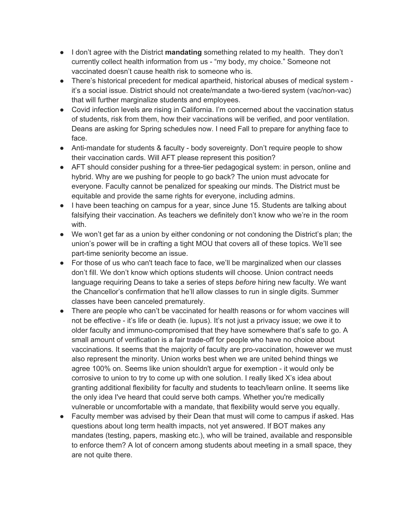- I don't agree with the District **mandating** something related to my health. They don't currently collect health information from us - "my body, my choice." Someone not vaccinated doesn't cause health risk to someone who is.
- There's historical precedent for medical apartheid, historical abuses of medical system it's a social issue. District should not create/mandate a two-tiered system (vac/non-vac) that will further marginalize students and employees.
- Covid infection levels are rising in California. I'm concerned about the vaccination status of students, risk from them, how their vaccinations will be verified, and poor ventilation. Deans are asking for Spring schedules now. I need Fall to prepare for anything face to face.
- Anti-mandate for students & faculty body sovereignty. Don't require people to show their vaccination cards. Will AFT please represent this position?
- AFT should consider pushing for a three-tier pedagogical system: in person, online and hybrid. Why are we pushing for people to go back? The union must advocate for everyone. Faculty cannot be penalized for speaking our minds. The District must be equitable and provide the same rights for everyone, including admins.
- I have been teaching on campus for a year, since June 15. Students are talking about falsifying their vaccination. As teachers we definitely don't know who we're in the room with.
- We won't get far as a union by either condoning or not condoning the District's plan; the union's power will be in crafting a tight MOU that covers all of these topics. We'll see part-time seniority become an issue.
- For those of us who can't teach face to face, we'll be marginalized when our classes don't fill. We don't know which options students will choose. Union contract needs language requiring Deans to take a series of steps *before* hiring new faculty. We want the Chancellor's confirmation that he'll allow classes to run in single digits. Summer classes have been canceled prematurely.
- There are people who can't be vaccinated for health reasons or for whom vaccines will not be effective - it's life or death (ie. lupus). It's not just a privacy issue; we owe it to older faculty and immuno-compromised that they have somewhere that's safe to go. A small amount of verification is a fair trade-off for people who have no choice about vaccinations. It seems that the majority of faculty are pro-vaccination, however we must also represent the minority. Union works best when we are united behind things we agree 100% on. Seems like union shouldn't argue for exemption - it would only be corrosive to union to try to come up with one solution. I really liked X's idea about granting additional flexibility for faculty and students to teach/learn online. It seems like the only idea I've heard that could serve both camps. Whether you're medically vulnerable or uncomfortable with a mandate, that flexibility would serve you equally.
- Faculty member was advised by their Dean that must will come to campus if asked. Has questions about long term health impacts, not yet answered. If BOT makes any mandates (testing, papers, masking etc.), who will be trained, available and responsible to enforce them? A lot of concern among students about meeting in a small space, they are not quite there.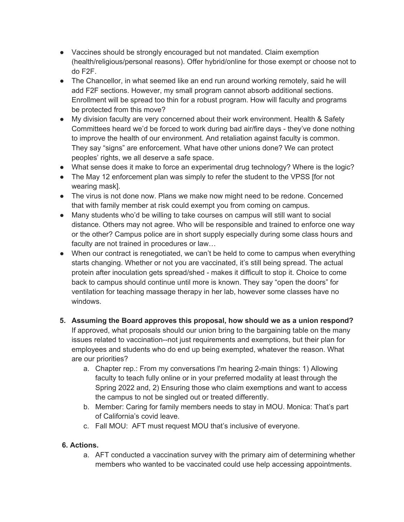- Vaccines should be strongly encouraged but not mandated. Claim exemption (health/religious/personal reasons). Offer hybrid/online for those exempt or choose not to do F2F.
- The Chancellor, in what seemed like an end run around working remotely, said he will add F2F sections. However, my small program cannot absorb additional sections. Enrollment will be spread too thin for a robust program. How will faculty and programs be protected from this move?
- My division faculty are very concerned about their work environment. Health & Safety Committees heard we'd be forced to work during bad air/fire days - they've done nothing to improve the health of our environment. And retaliation against faculty is common. They say "signs" are enforcement. What have other unions done? We can protect peoples' rights, we all deserve a safe space.
- What sense does it make to force an experimental drug technology? Where is the logic?
- The May 12 enforcement plan was simply to refer the student to the VPSS [for not wearing mask].
- The virus is not done now. Plans we make now might need to be redone. Concerned that with family member at risk could exempt you from coming on campus.
- Many students who'd be willing to take courses on campus will still want to social distance. Others may not agree. Who will be responsible and trained to enforce one way or the other? Campus police are in short supply especially during some class hours and faculty are not trained in procedures or law…
- When our contract is renegotiated, we can't be held to come to campus when everything starts changing. Whether or not you are vaccinated, it's still being spread. The actual protein after inoculation gets spread/shed - makes it difficult to stop it. Choice to come back to campus should continue until more is known. They say "open the doors" for ventilation for teaching massage therapy in her lab, however some classes have no windows.
- **5. Assuming the Board approves this proposal, how should we as a union respond?** If approved, what proposals should our union bring to the bargaining table on the many issues related to vaccination--not just requirements and exemptions, but their plan for employees and students who do end up being exempted, whatever the reason. What are our priorities?
	- a. Chapter rep.: From my conversations I'm hearing 2-main things: 1) Allowing faculty to teach fully online or in your preferred modality at least through the Spring 2022 and, 2) Ensuring those who claim exemptions and want to access the campus to not be singled out or treated differently.
	- b. Member: Caring for family members needs to stay in MOU. Monica: That's part of California's covid leave.
	- c. Fall MOU: AFT must request MOU that's inclusive of everyone.

## **6. Actions.**

a. AFT conducted a vaccination survey with the primary aim of determining whether members who wanted to be vaccinated could use help accessing appointments.